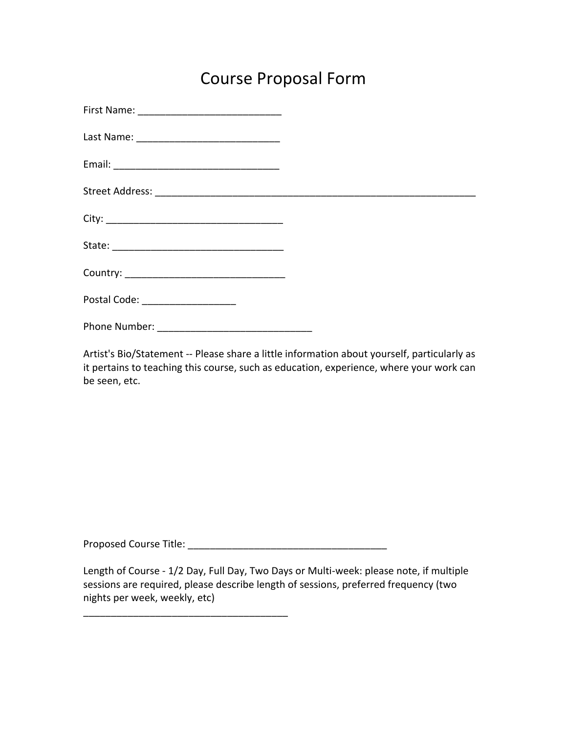## Course Proposal Form

| Postal Code: _________________ |  |
|--------------------------------|--|
| Phone Number:                  |  |

Artist's Bio/Statement -- Please share a little information about yourself, particularly as it pertains to teaching this course, such as education, experience, where your work can be seen, etc.

Proposed Course Title: \_\_\_\_\_\_\_\_\_\_\_\_\_\_\_\_\_\_\_\_\_\_\_\_\_\_\_\_\_\_\_\_\_\_\_\_

\_\_\_\_\_\_\_\_\_\_\_\_\_\_\_\_\_\_\_\_\_\_\_\_\_\_\_\_\_\_\_\_\_\_\_\_\_

Length of Course - 1/2 Day, Full Day, Two Days or Multi-week: please note, if multiple sessions are required, please describe length of sessions, preferred frequency (two nights per week, weekly, etc)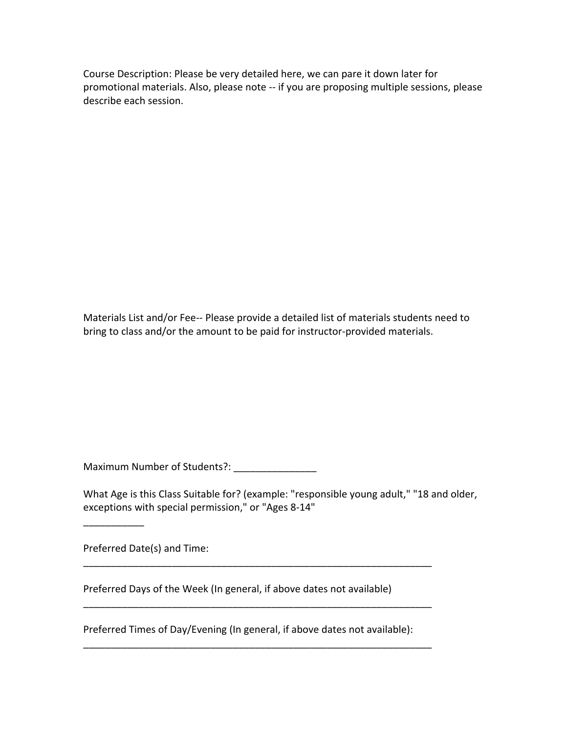Course Description: Please be very detailed here, we can pare it down later for promotional materials. Also, please note -- if you are proposing multiple sessions, please describe each session.

Materials List and/or Fee-- Please provide a detailed list of materials students need to bring to class and/or the amount to be paid for instructor-provided materials.

Maximum Number of Students?: \_\_\_\_\_\_\_\_\_\_\_\_\_\_\_\_

What Age is this Class Suitable for? (example: "responsible young adult," "18 and older, exceptions with special permission," or "Ages 8-14"

Preferred Date(s) and Time:

 $\overline{\phantom{a}}$  , where  $\overline{\phantom{a}}$ 

Preferred Days of the Week (In general, if above dates not available)

Preferred Times of Day/Evening (In general, if above dates not available):

\_\_\_\_\_\_\_\_\_\_\_\_\_\_\_\_\_\_\_\_\_\_\_\_\_\_\_\_\_\_\_\_\_\_\_\_\_\_\_\_\_\_\_\_\_\_\_\_\_\_\_\_\_\_\_\_\_\_\_\_\_\_\_

\_\_\_\_\_\_\_\_\_\_\_\_\_\_\_\_\_\_\_\_\_\_\_\_\_\_\_\_\_\_\_\_\_\_\_\_\_\_\_\_\_\_\_\_\_\_\_\_\_\_\_\_\_\_\_\_\_\_\_\_\_\_\_

\_\_\_\_\_\_\_\_\_\_\_\_\_\_\_\_\_\_\_\_\_\_\_\_\_\_\_\_\_\_\_\_\_\_\_\_\_\_\_\_\_\_\_\_\_\_\_\_\_\_\_\_\_\_\_\_\_\_\_\_\_\_\_